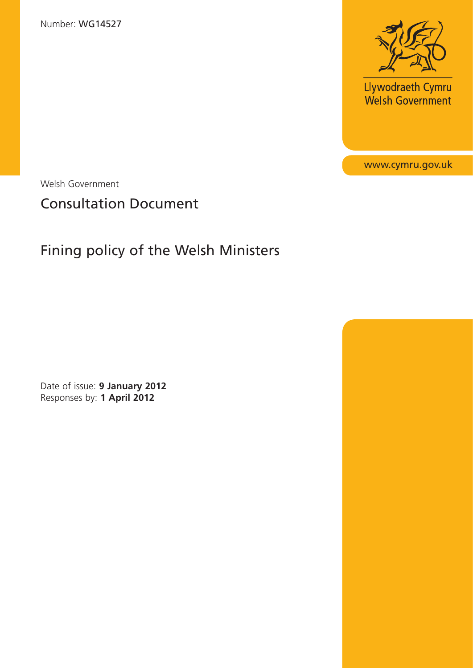

Llywodraeth Cymru<br>Welsh Government

www.cymru.gov.uk

Welsh Government

# Consultation Document

# Fining policy of the Welsh Ministers

Date of issue: **9 January 2012** Responses by: **1 April 2012**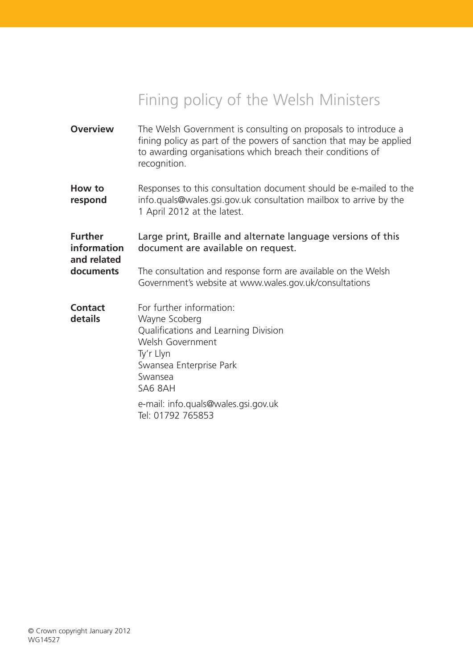# Fining policy of the Welsh Ministers

- **Overview** The Welsh Government is consulting on proposals to introduce a fining policy as part of the powers of sanction that may be applied to awarding organisations which breach their conditions of recognition.
- **How to** Responses to this consultation document should be e-mailed to the **respond** info.quals@wales.gsi.gov.uk consultation mailbox to arrive by the 1 April 2012 at the latest.

**Further** Large print, Braille and alternate language versions of this **information** document are available on request. **and related documents** The consultation and response form are available on the Welsh Government's website at www.wales.gov.uk/consultations

**Contact** For further information: **details** Wayne Scoberg Qualifications and Learning Division Welsh Government Ty'r Llyn Swansea Enterprise Park Swansea SA6 8AH e-mail: info.quals@wales.gsi.gov.uk

Tel: 01792 765853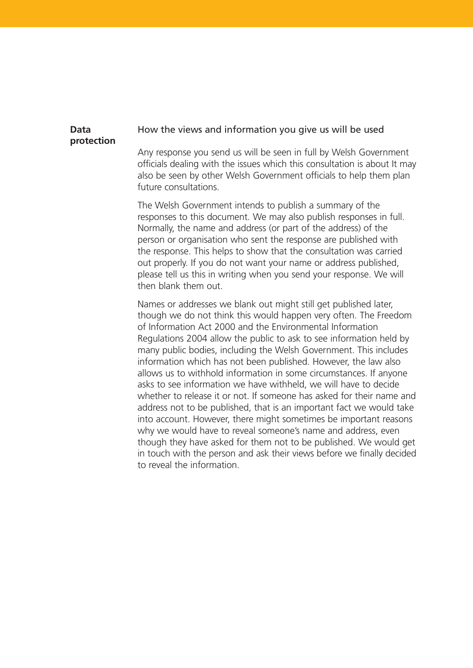### **Data** How the views and information you give us will be used

### **protection**

Any response you send us will be seen in full by Welsh Government officials dealing with the issues which this consultation is about It may also be seen by other Welsh Government officials to help them plan future consultations.

The Welsh Government intends to publish a summary of the responses to this document. We may also publish responses in full. Normally, the name and address (or part of the address) of the person or organisation who sent the response are published with the response. This helps to show that the consultation was carried out properly. If you do not want your name or address published, please tell us this in writing when you send your response. We will then blank them out.

Names or addresses we blank out might still get published later, though we do not think this would happen very often. The Freedom of Information Act 2000 and the Environmental Information Regulations 2004 allow the public to ask to see information held by many public bodies, including the Welsh Government. This includes information which has not been published. However, the law also allows us to withhold information in some circumstances. If anyone asks to see information we have withheld, we will have to decide whether to release it or not. If someone has asked for their name and address not to be published, that is an important fact we would take into account. However, there might sometimes be important reasons why we would have to reveal someone's name and address, even though they have asked for them not to be published. We would get in touch with the person and ask their views before we finally decided to reveal the information.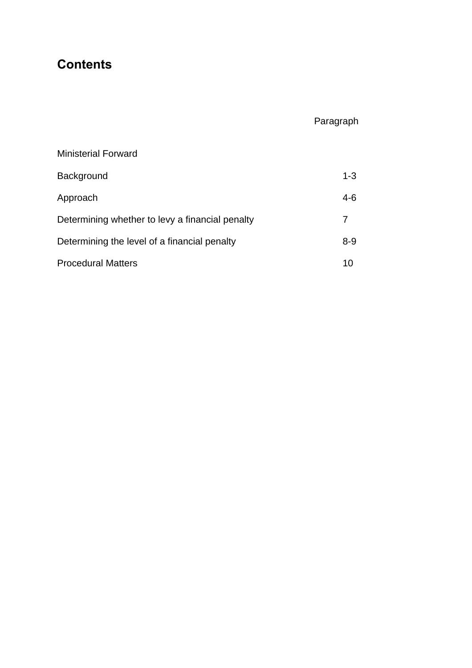## **Contents**

### Paragraph

| <b>Ministerial Forward</b>                      |         |
|-------------------------------------------------|---------|
| Background                                      | $1 - 3$ |
| Approach                                        | 4-6     |
| Determining whether to levy a financial penalty | 7       |
| Determining the level of a financial penalty    | $8 - 9$ |
| <b>Procedural Matters</b>                       | 10      |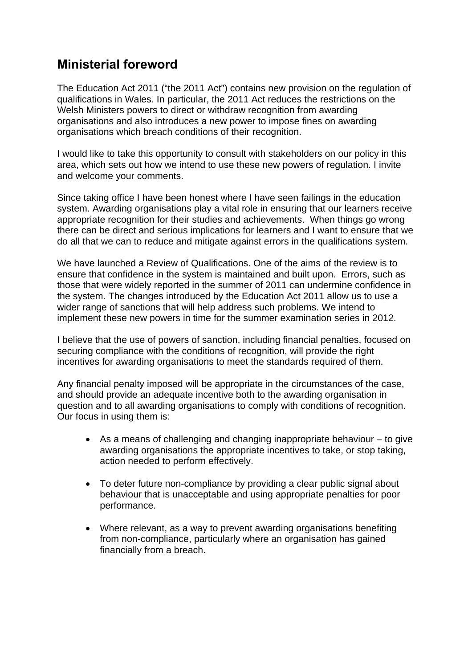### **Ministerial foreword**

The Education Act 2011 ("the 2011 Act") contains new provision on the regulation of qualifications in Wales. In particular, the 2011 Act reduces the restrictions on the Welsh Ministers powers to direct or withdraw recognition from awarding organisations and also introduces a new power to impose fines on awarding organisations which breach conditions of their recognition.

I would like to take this opportunity to consult with stakeholders on our policy in this area, which sets out how we intend to use these new powers of regulation. I invite and welcome your comments.

Since taking office I have been honest where I have seen failings in the education system. Awarding organisations play a vital role in ensuring that our learners receive appropriate recognition for their studies and achievements. When things go wrong there can be direct and serious implications for learners and I want to ensure that we do all that we can to reduce and mitigate against errors in the qualifications system.

We have launched a Review of Qualifications. One of the aims of the review is to ensure that confidence in the system is maintained and built upon. Errors, such as those that were widely reported in the summer of 2011 can undermine confidence in the system. The changes introduced by the Education Act 2011 allow us to use a wider range of sanctions that will help address such problems. We intend to implement these new powers in time for the summer examination series in 2012.

I believe that the use of powers of sanction, including financial penalties, focused on securing compliance with the conditions of recognition, will provide the right incentives for awarding organisations to meet the standards required of them.

Any financial penalty imposed will be appropriate in the circumstances of the case, and should provide an adequate incentive both to the awarding organisation in question and to all awarding organisations to comply with conditions of recognition. Our focus in using them is:

- As a means of challenging and changing inappropriate behaviour to give awarding organisations the appropriate incentives to take, or stop taking, action needed to perform effectively.
- To deter future non-compliance by providing a clear public signal about behaviour that is unacceptable and using appropriate penalties for poor performance.
- Where relevant, as a way to prevent awarding organisations benefiting from non-compliance, particularly where an organisation has gained financially from a breach.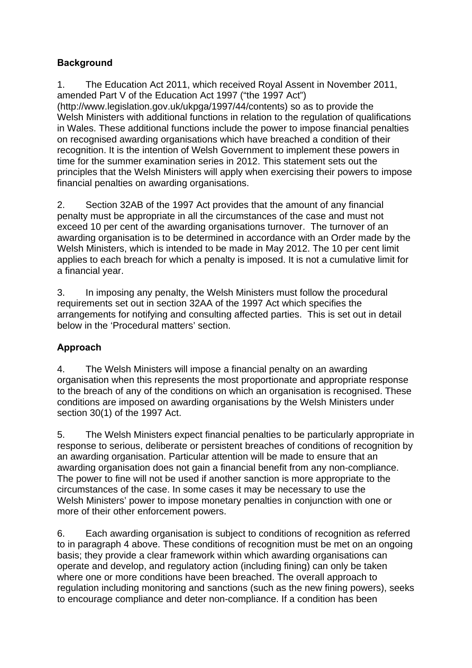#### **Background**

1. The Education Act 2011, which received Royal Assent in November 2011, amended Part V of the Education Act 1997 ("the 1997 Act") (http://www.legislation.gov.uk/ukpga/1997/44/contents) so as to provide the Welsh Ministers with additional functions in relation to the regulation of qualifications in Wales. These additional functions include the power to impose financial penalties on recognised awarding organisations which have breached a condition of their recognition. It is the intention of Welsh Government to implement these powers in time for the summer examination series in 2012. This statement sets out the principles that the Welsh Ministers will apply when exercising their powers to impose financial penalties on awarding organisations.

2. Section 32AB of the 1997 Act provides that the amount of any financial penalty must be appropriate in all the circumstances of the case and must not exceed 10 per cent of the awarding organisations turnover. The turnover of an awarding organisation is to be determined in accordance with an Order made by the Welsh Ministers, which is intended to be made in May 2012. The 10 per cent limit applies to each breach for which a penalty is imposed. It is not a cumulative limit for a financial year.

3. In imposing any penalty, the Welsh Ministers must follow the procedural requirements set out in section 32AA of the 1997 Act which specifies the arrangements for notifying and consulting affected parties. This is set out in detail below in the 'Procedural matters' section.

### **Approach**

4. The Welsh Ministers will impose a financial penalty on an awarding organisation when this represents the most proportionate and appropriate response to the breach of any of the conditions on which an organisation is recognised. These conditions are imposed on awarding organisations by the Welsh Ministers under section 30(1) of the 1997 Act.

5. The Welsh Ministers expect financial penalties to be particularly appropriate in response to serious, deliberate or persistent breaches of conditions of recognition by an awarding organisation. Particular attention will be made to ensure that an awarding organisation does not gain a financial benefit from any non-compliance. The power to fine will not be used if another sanction is more appropriate to the circumstances of the case. In some cases it may be necessary to use the Welsh Ministers' power to impose monetary penalties in conjunction with one or more of their other enforcement powers.

6. Each awarding organisation is subject to conditions of recognition as referred to in paragraph 4 above. These conditions of recognition must be met on an ongoing basis; they provide a clear framework within which awarding organisations can operate and develop, and regulatory action (including fining) can only be taken where one or more conditions have been breached. The overall approach to regulation including monitoring and sanctions (such as the new fining powers), seeks to encourage compliance and deter non-compliance. If a condition has been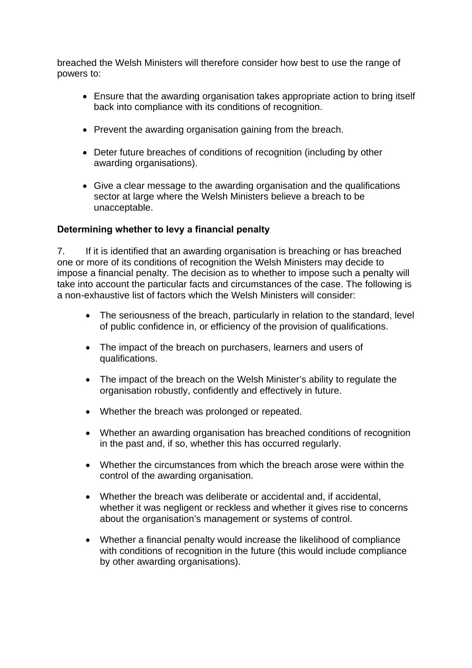breached the Welsh Ministers will therefore consider how best to use the range of powers to:

- Ensure that the awarding organisation takes appropriate action to bring itself back into compliance with its conditions of recognition.
- Prevent the awarding organisation gaining from the breach.
- Deter future breaches of conditions of recognition (including by other awarding organisations).
- Give a clear message to the awarding organisation and the qualifications sector at large where the Welsh Ministers believe a breach to be unacceptable.

#### **Determining whether to levy a financial penalty**

7. If it is identified that an awarding organisation is breaching or has breached one or more of its conditions of recognition the Welsh Ministers may decide to impose a financial penalty. The decision as to whether to impose such a penalty will take into account the particular facts and circumstances of the case. The following is a non-exhaustive list of factors which the Welsh Ministers will consider:

- The seriousness of the breach, particularly in relation to the standard, level of public confidence in, or efficiency of the provision of qualifications.
- The impact of the breach on purchasers, learners and users of qualifications.
- The impact of the breach on the Welsh Minister's ability to regulate the organisation robustly, confidently and effectively in future.
- Whether the breach was prolonged or repeated.
- Whether an awarding organisation has breached conditions of recognition in the past and, if so, whether this has occurred regularly.
- Whether the circumstances from which the breach arose were within the control of the awarding organisation.
- Whether the breach was deliberate or accidental and, if accidental, whether it was negligent or reckless and whether it gives rise to concerns about the organisation's management or systems of control.
- Whether a financial penalty would increase the likelihood of compliance with conditions of recognition in the future (this would include compliance by other awarding organisations).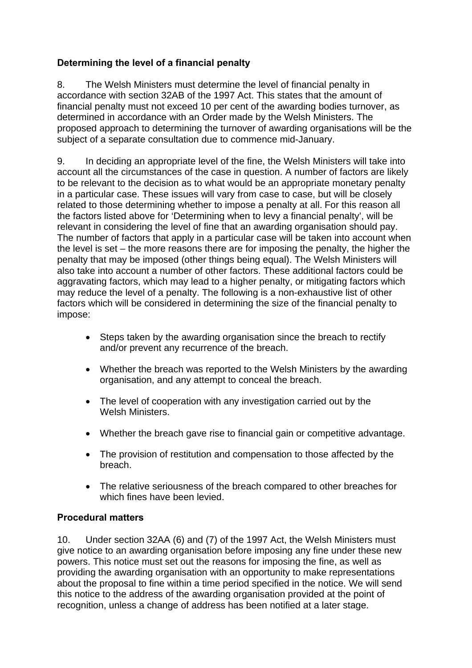#### **Determining the level of a financial penalty**

8. The Welsh Ministers must determine the level of financial penalty in accordance with section 32AB of the 1997 Act. This states that the amount of financial penalty must not exceed 10 per cent of the awarding bodies turnover, as determined in accordance with an Order made by the Welsh Ministers. The proposed approach to determining the turnover of awarding organisations will be the subject of a separate consultation due to commence mid-January.

9. In deciding an appropriate level of the fine, the Welsh Ministers will take into account all the circumstances of the case in question. A number of factors are likely to be relevant to the decision as to what would be an appropriate monetary penalty in a particular case. These issues will vary from case to case, but will be closely related to those determining whether to impose a penalty at all. For this reason all the factors listed above for 'Determining when to levy a financial penalty', will be relevant in considering the level of fine that an awarding organisation should pay. The number of factors that apply in a particular case will be taken into account when the level is set – the more reasons there are for imposing the penalty, the higher the penalty that may be imposed (other things being equal). The Welsh Ministers will also take into account a number of other factors. These additional factors could be aggravating factors, which may lead to a higher penalty, or mitigating factors which may reduce the level of a penalty. The following is a non-exhaustive list of other factors which will be considered in determining the size of the financial penalty to impose:

- Steps taken by the awarding organisation since the breach to rectify and/or prevent any recurrence of the breach.
- Whether the breach was reported to the Welsh Ministers by the awarding organisation, and any attempt to conceal the breach.
- The level of cooperation with any investigation carried out by the Welsh Ministers.
- Whether the breach gave rise to financial gain or competitive advantage.
- The provision of restitution and compensation to those affected by the breach.
- The relative seriousness of the breach compared to other breaches for which fines have been levied.

#### **Procedural matters**

10. Under section 32AA (6) and (7) of the 1997 Act, the Welsh Ministers must give notice to an awarding organisation before imposing any fine under these new powers. This notice must set out the reasons for imposing the fine, as well as providing the awarding organisation with an opportunity to make representations about the proposal to fine within a time period specified in the notice. We will send this notice to the address of the awarding organisation provided at the point of recognition, unless a change of address has been notified at a later stage.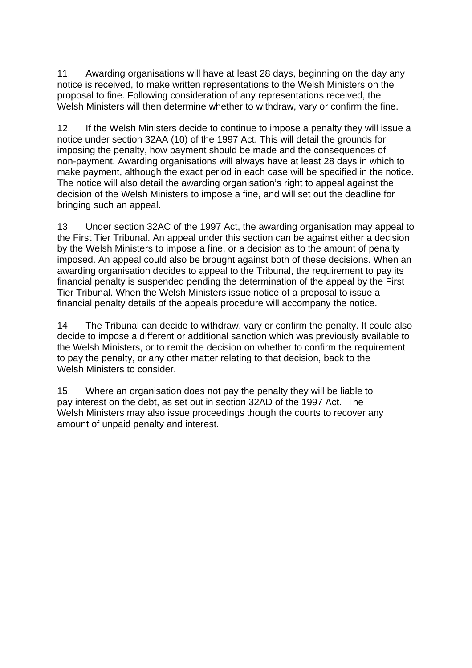11. Awarding organisations will have at least 28 days, beginning on the day any notice is received, to make written representations to the Welsh Ministers on the proposal to fine. Following consideration of any representations received, the Welsh Ministers will then determine whether to withdraw, vary or confirm the fine.

12. If the Welsh Ministers decide to continue to impose a penalty they will issue a notice under section 32AA (10) of the 1997 Act. This will detail the grounds for imposing the penalty, how payment should be made and the consequences of non-payment. Awarding organisations will always have at least 28 days in which to make payment, although the exact period in each case will be specified in the notice. The notice will also detail the awarding organisation's right to appeal against the decision of the Welsh Ministers to impose a fine, and will set out the deadline for bringing such an appeal.

13 Under section 32AC of the 1997 Act, the awarding organisation may appeal to the First Tier Tribunal. An appeal under this section can be against either a decision by the Welsh Ministers to impose a fine, or a decision as to the amount of penalty imposed. An appeal could also be brought against both of these decisions. When an awarding organisation decides to appeal to the Tribunal, the requirement to pay its financial penalty is suspended pending the determination of the appeal by the First Tier Tribunal. When the Welsh Ministers issue notice of a proposal to issue a financial penalty details of the appeals procedure will accompany the notice.

14 The Tribunal can decide to withdraw, vary or confirm the penalty. It could also decide to impose a different or additional sanction which was previously available to the Welsh Ministers, or to remit the decision on whether to confirm the requirement to pay the penalty, or any other matter relating to that decision, back to the Welsh Ministers to consider.

15. Where an organisation does not pay the penalty they will be liable to pay interest on the debt, as set out in section 32AD of the 1997 Act. The Welsh Ministers may also issue proceedings though the courts to recover any amount of unpaid penalty and interest.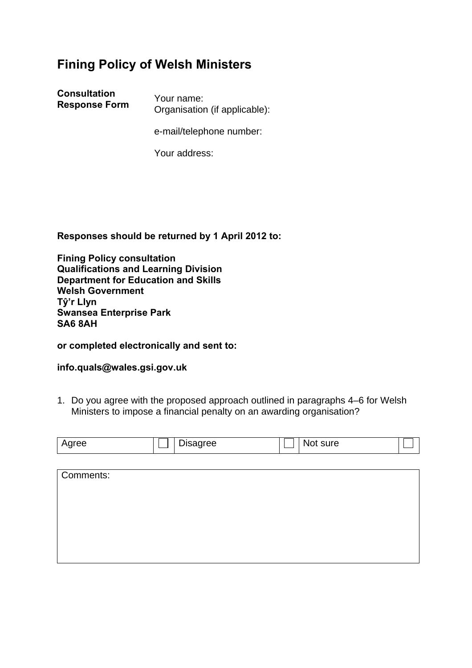### **Fining Policy of Welsh Ministers**

**Consultation Response Form** Your name: Organisation (if applicable):

e-mail/telephone number:

Your address:

**Responses should be returned by 1 April 2012 to:** 

**Fining Policy consultation Qualifications and Learning Division Department for Education and Skills Welsh Government Tŷ'r Llyn Swansea Enterprise Park SA6 8AH** 

**or completed electronically and sent to:** 

**info.quals@wales.gsi.gov.uk** 

1. Do you agree with the proposed approach outlined in paragraphs 4–6 for Welsh Ministers to impose a financial penalty on an awarding organisation?

| .<br>-----<br>vgree<br>ıree<br>$-$ | sure<br>NI |  |
|------------------------------------|------------|--|
|------------------------------------|------------|--|

| Comments: |  |  |  |
|-----------|--|--|--|
|           |  |  |  |
|           |  |  |  |
|           |  |  |  |
|           |  |  |  |
|           |  |  |  |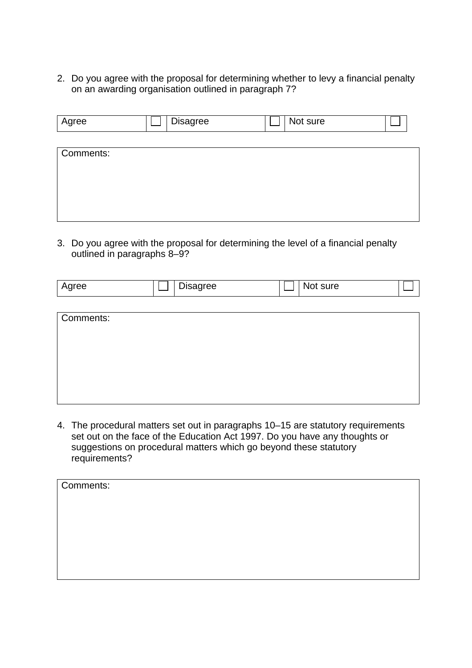2. Do you agree with the proposal for determining whether to levy a financial penalty on an awarding organisation outlined in paragraph 7?

| agree<br>Aaree<br>ັ | : sure<br>זמצי |  |
|---------------------|----------------|--|
|---------------------|----------------|--|

| Comments: |  |  |  |
|-----------|--|--|--|
|           |  |  |  |
|           |  |  |  |
|           |  |  |  |
|           |  |  |  |

3. Do you agree with the proposal for determining the level of a financial penalty outlined in paragraphs 8–9?

|--|

| Comments: |  |  |
|-----------|--|--|
|           |  |  |
|           |  |  |
|           |  |  |
|           |  |  |
|           |  |  |

4. The procedural matters set out in paragraphs 10–15 are statutory requirements set out on the face of the Education Act 1997. Do you have any thoughts or suggestions on procedural matters which go beyond these statutory requirements?

| Comments: |  |  |  |
|-----------|--|--|--|
|           |  |  |  |
|           |  |  |  |
|           |  |  |  |
|           |  |  |  |